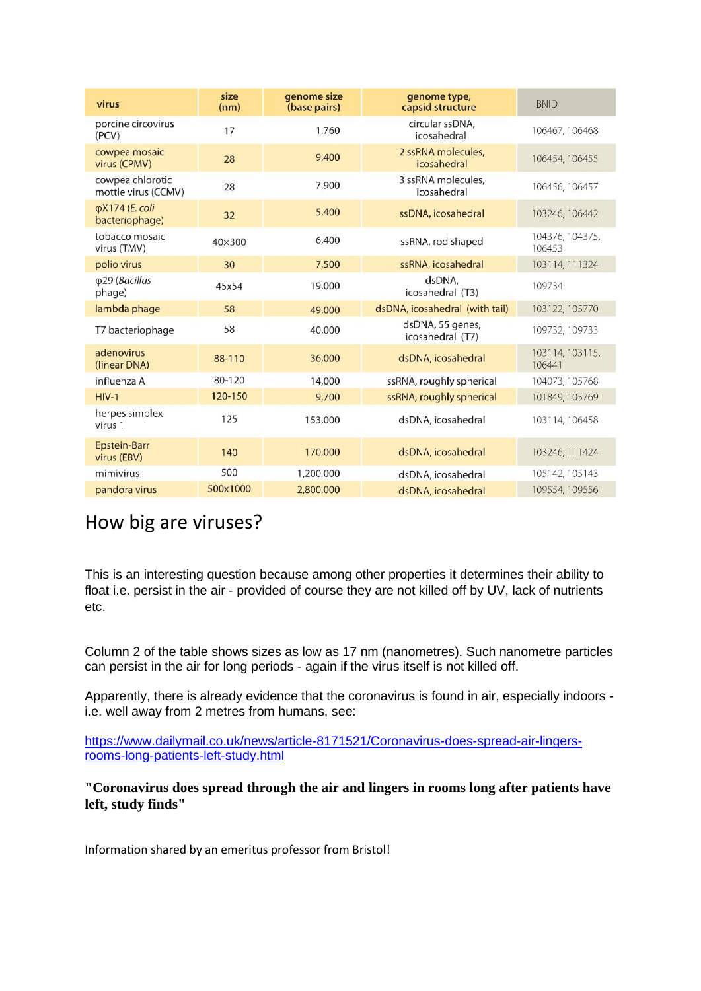| virus                                   | size<br>(nm) | genome size<br>(base pairs) | genome type,<br>capsid structure     | <b>BNID</b>               |
|-----------------------------------------|--------------|-----------------------------|--------------------------------------|---------------------------|
| porcine circovirus<br>(PCV)             | 17           | 1,760                       | circular ssDNA,<br>icosahedral       | 106467, 106468            |
| cowpea mosaic<br>virus (CPMV)           | 28           | 9,400                       | 2 ssRNA molecules.<br>icosahedral    | 106454, 106455            |
| cowpea chlorotic<br>mottle virus (CCMV) | 28           | 7,900                       | 3 ssRNA molecules.<br>icosahedral    | 106456, 106457            |
| φX174 (E. coli<br>bacteriophage)        | 32           | 5,400                       | ssDNA, icosahedral                   | 103246, 106442            |
| tobacco mosaic<br>virus (TMV)           | 40×300       | 6,400                       | ssRNA, rod shaped                    | 104376, 104375,<br>106453 |
| polio virus                             | 30           | 7,500                       | ssRNA, icosahedral                   | 103114, 111324            |
| φ29 (Bacillus<br>phage)                 | 45x54        | 19,000                      | dsDNA,<br>icosahedral (T3)           | 109734                    |
| lambda phage                            | 58           | 49,000                      | dsDNA, icosahedral (with tail)       | 103122, 105770            |
| T7 bacteriophage                        | 58           | 40,000                      | dsDNA, 55 genes,<br>icosahedral (T7) | 109732, 109733            |
| adenovirus<br>(linear DNA)              | 88-110       | 36,000                      | dsDNA, icosahedral                   | 103114, 103115,<br>106441 |
| influenza A                             | 80-120       | 14,000                      | ssRNA, roughly spherical             | 104073, 105768            |
| $HIV-1$                                 | 120-150      | 9,700                       | ssRNA, roughly spherical             | 101849, 105769            |
| herpes simplex<br>virus 1               | 125          | 153,000                     | dsDNA, icosahedral                   | 103114, 106458            |
| <b>Epstein-Barr</b><br>virus (EBV)      | 140          | 170,000                     | dsDNA, icosahedral                   | 103246, 111424            |
| mimivirus                               | 500          | 1,200,000                   | dsDNA, icosahedral                   | 105142, 105143            |
| pandora virus                           | 500x1000     | 2,800,000                   | dsDNA, icosahedral                   | 109554, 109556            |

## How big are viruses?

This is an interesting question because among other properties it determines their ability to float i.e. persist in the air - provided of course they are not killed off by UV, lack of nutrients etc.

Column 2 of the table shows sizes as low as 17 nm (nanometres). Such nanometre particles can persist in the air for long periods - again if the virus itself is not killed off.

Apparently, there is already evidence that the coronavirus is found in air, especially indoors i.e. well away from 2 metres from humans, see:

[https://www.dailymail.co.uk/news/article-8171521/Coronavirus-does-spread-air-lingers](https://www.dailymail.co.uk/news/article-8171521/Coronavirus-does-spread-air-lingers-rooms-long-patients-left-study.html)[rooms-long-patients-left-study.html](https://www.dailymail.co.uk/news/article-8171521/Coronavirus-does-spread-air-lingers-rooms-long-patients-left-study.html)

**"Coronavirus does spread through the air and lingers in rooms long after patients have left, study finds"**

Information shared by an emeritus professor from Bristol!